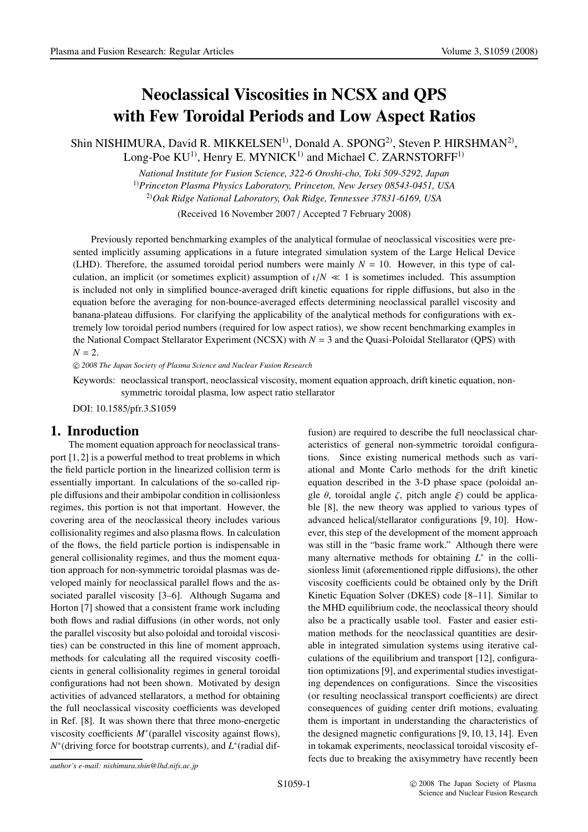# Neoclassical Viscosities in NCSX and QPS with Few Toroidal Periods and Low Aspect Ratios

Shin NISHIMURA, David R. MIKKELSEN<sup>1)</sup>, Donald A. SPONG<sup>2)</sup>, Steven P. HIRSHMAN<sup>2)</sup>, Long-Poe  $KU^{1}$ , Henry E. MYNIC $K^{1}$  and Michael C. ZARNSTORFF<sup>1)</sup>

*National Institute for Fusion Science, 322-6 Oroshi-cho, Toki 509-5292, Japan*

1)*Princeton Plasma Physics Laboratory, Princeton, New Jersey 08543-0451, USA* 2)*Oak Ridge National Laboratory, Oak Ridge, Tennessee 37831-6169, USA*

(Received 16 November 2007 / Accepted 7 February 2008)

Previously reported benchmarking examples of the analytical formulae of neoclassical viscosities were presented implicitly assuming applications in a future integrated simulation system of the Large Helical Device (LHD). Therefore, the assumed toroidal period numbers were mainly  $N = 10$ . However, in this type of calculation, an implicit (or sometimes explicit) assumption of  $\iota/N \ll 1$  is sometimes included. This assumption is included not only in simplified bounce-averaged drift kinetic equations for ripple diffusions, but also in the equation before the averaging for non-bounce-averaged effects determining neoclassical parallel viscosity and banana-plateau diffusions. For clarifying the applicability of the analytical methods for configurations with extremely low toroidal period numbers (required for low aspect ratios), we show recent benchmarking examples in the National Compact Stellarator Experiment (NCSX) with *N* = 3 and the Quasi-Poloidal Stellarator (QPS) with  $N = 2$ .

-c *2008 The Japan Society of Plasma Science and Nuclear Fusion Research*

Keywords: neoclassical transport, neoclassical viscosity, moment equation approach, drift kinetic equation, nonsymmetric toroidal plasma, low aspect ratio stellarator

DOI: 10.1585/pfr.3.S1059

## 1. Inroduction

The moment equation approach for neoclassical transport [1, 2] is a powerful method to treat problems in which the field particle portion in the linearized collision term is essentially important. In calculations of the so-called ripple diffusions and their ambipolar condition in collisionless regimes, this portion is not that important. However, the covering area of the neoclassical theory includes various collisionality regimes and also plasma flows. In calculation of the flows, the field particle portion is indispensable in general collisionality regimes, and thus the moment equation approach for non-symmetric toroidal plasmas was developed mainly for neoclassical parallel flows and the associated parallel viscosity [3–6]. Although Sugama and Horton [7] showed that a consistent frame work including both flows and radial diffusions (in other words, not only the parallel viscosity but also poloidal and toroidal viscosities) can be constructed in this line of moment approach, methods for calculating all the required viscosity coefficients in general collisionality regimes in general toroidal configurations had not been shown. Motivated by design activities of advanced stellarators, a method for obtaining the full neoclassical viscosity coefficients was developed in Ref. [8]. It was shown there that three mono-energetic viscosity coefficients *M*<sup>∗</sup>(parallel viscosity against flows), *N*<sup>∗</sup>(driving force for bootstrap currents), and *L*<sup>∗</sup>(radial diffusion) are required to describe the full neoclassical characteristics of general non-symmetric toroidal configurations. Since existing numerical methods such as variational and Monte Carlo methods for the drift kinetic equation described in the 3-D phase space (poloidal angle  $\theta$ , toroidal angle ζ, pitch angle ξ) could be applicable [8], the new theory was applied to various types of advanced helical/stellarator configurations [9, 10]. However, this step of the development of the moment approach was still in the "basic frame work." Although there were many alternative methods for obtaining *L*<sup>∗</sup> in the collisionless limit (aforementioned ripple diffusions), the other viscosity coefficients could be obtained only by the Drift Kinetic Equation Solver (DKES) code [8–11]. Similar to the MHD equilibrium code, the neoclassical theory should also be a practically usable tool. Faster and easier estimation methods for the neoclassical quantities are desirable in integrated simulation systems using iterative calculations of the equilibrium and transport [12], configuration optimizations [9], and experimental studies investigating dependences on configurations. Since the viscosities (or resulting neoclassical transport coefficients) are direct consequences of guiding center drift motions, evaluating them is important in understanding the characteristics of the designed magnetic configurations [9, 10, 13, 14]. Even in tokamak experiments, neoclassical toroidal viscosity effects due to breaking the axisymmetry have recently been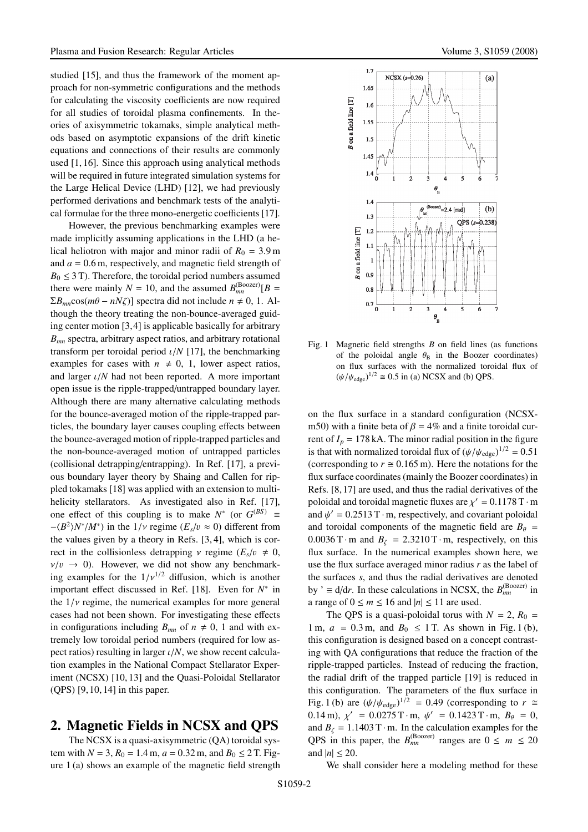studied [15], and thus the framework of the moment approach for non-symmetric configurations and the methods for calculating the viscosity coefficients are now required for all studies of toroidal plasma confinements. In theories of axisymmetric tokamaks, simple analytical methods based on asymptotic expansions of the drift kinetic equations and connections of their results are commonly used [1, 16]. Since this approach using analytical methods will be required in future integrated simulation systems for the Large Helical Device (LHD) [12], we had previously performed derivations and benchmark tests of the analytical formulae for the three mono-energetic coefficients [17].

However, the previous benchmarking examples were made implicitly assuming applications in the LHD (a helical heliotron with major and minor radii of  $R_0 = 3.9$  m and *a* = 0.6 m, respectively, and magnetic field strength of  $B_0 \leq 3$  T). Therefore, the toroidal period numbers assumed there were mainly  $N = 10$ , and the assumed  $B_{mn}^{(Boozer)}[B =$  $\Sigma B_{mn}$ cos( $m\theta - nN\zeta$ )] spectra did not include  $n \neq 0, 1$ . Although the theory treating the non-bounce-averaged guiding center motion [3,4] is applicable basically for arbitrary *Bmn* spectra, arbitrary aspect ratios, and arbitrary rotational transform per toroidal period  $\iota/N$  [17], the benchmarking examples for cases with  $n \neq 0, 1$ , lower aspect ratios, and larger ι/*N* had not been reported. A more important open issue is the ripple-trapped/untrapped boundary layer. Although there are many alternative calculating methods for the bounce-averaged motion of the ripple-trapped particles, the boundary layer causes coupling effects between the bounce-averaged motion of ripple-trapped particles and the non-bounce-averaged motion of untrapped particles (collisional detrapping/entrapping). In Ref. [17], a previous boundary layer theory by Shaing and Callen for rippled tokamaks [18] was applied with an extension to multihelicity stellarators. As investigated also in Ref. [17], one effect of this coupling is to make  $N^*$  (or  $G^{(BS)}$ ) =  $-(B^2)N^*/M^*$ ) in the  $1/\nu$  regime ( $E_s/v \approx 0$ ) different from the values given by a theory in Refs. [3, 4], which is correct in the collisionless detrapping  $\nu$  regime ( $E_s/v \neq 0$ ,  $v/v \rightarrow 0$ ). However, we did not show any benchmarking examples for the  $1/v^{1/2}$  diffusion, which is another important effect discussed in Ref. [18]. Even for *N*<sup>∗</sup> in the  $1/\nu$  regime, the numerical examples for more general cases had not been shown. For investigating these effects in configurations including  $B_{mn}$  of  $n \neq 0$ , 1 and with extremely low toroidal period numbers (required for low aspect ratios) resulting in larger ι/*N*, we show recent calculation examples in the National Compact Stellarator Experiment (NCSX) [10, 13] and the Quasi-Poloidal Stellarator (QPS) [9, 10, 14] in this paper.

### 2. Magnetic Fields in NCSX and QPS

The NCSX is a quasi-axisymmetric (QA) toroidal system with  $N = 3$ ,  $R_0 = 1.4$  m,  $a = 0.32$  m, and  $B_0 \le 2$  T. Figure 1 (a) shows an example of the magnetic field strength



Fig. 1 Magnetic field strengths *B* on field lines (as functions of the poloidal angle  $\theta_B$  in the Boozer coordinates) on flux surfaces with the normalized toroidal flux of  $(\psi/\psi_{\text{edge}})^{1/2} \cong 0.5$  in (a) NCSX and (b) QPS.

on the flux surface in a standard configuration (NCSXm50) with a finite beta of  $\beta = 4\%$  and a finite toroidal current of  $I_p = 178$  kA. The minor radial position in the figure is that with normalized toroidal flux of  $(\psi/\psi_{\text{edge}})^{1/2} = 0.51$ (corresponding to  $r \approx 0.165$  m). Here the notations for the flux surface coordinates (mainly the Boozer coordinates) in Refs. [8, 17] are used, and thus the radial derivatives of the poloidal and toroidal magnetic fluxes are  $\chi' = 0.1178$  T $\cdot$ m and  $\psi' = 0.2513$  T·m, respectively, and covariant poloidal and toroidal components of the magnetic field are  $B_{\theta}$  =  $0.0036$  T·m and  $B_\zeta = 2.3210$  T·m, respectively, on this flux surface. In the numerical examples shown here, we use the flux surface averaged minor radius *r* as the label of the surfaces *s*, and thus the radial derivatives are denoted by '  $\equiv d/dr$ . In these calculations in NCSX, the  $B_{mn}^{(Boozer)}$  in a range of  $0 \le m \le 16$  and  $|n| \le 11$  are used.

The QPS is a quasi-poloidal torus with  $N = 2$ ,  $R_0 =$ 1 m,  $a = 0.3$  m, and  $B_0 \le 1$  T. As shown in Fig. 1(b), this configuration is designed based on a concept contrasting with QA configurations that reduce the fraction of the ripple-trapped particles. Instead of reducing the fraction, the radial drift of the trapped particle [19] is reduced in this configuration. The parameters of the flux surface in Fig. 1 (b) are  $(\psi/\psi_{\text{edge}})^{1/2} = 0.49$  (corresponding to  $r \approx$ 0.14 m),  $\chi' = 0.0275 \text{ T} \cdot \text{m}$ ,  $\psi' = 0.1423 \text{ T} \cdot \text{m}$ ,  $B_\theta = 0$ , and  $B_{\zeta} = 1.1403 \text{ T} \cdot \text{m}$ . In the calculation examples for the QPS in this paper, the  $B_{mn}^{(Boozer)}$  ranges are  $0 \le m \le 20$ and  $|n| \leq 20$ .

We shall consider here a modeling method for these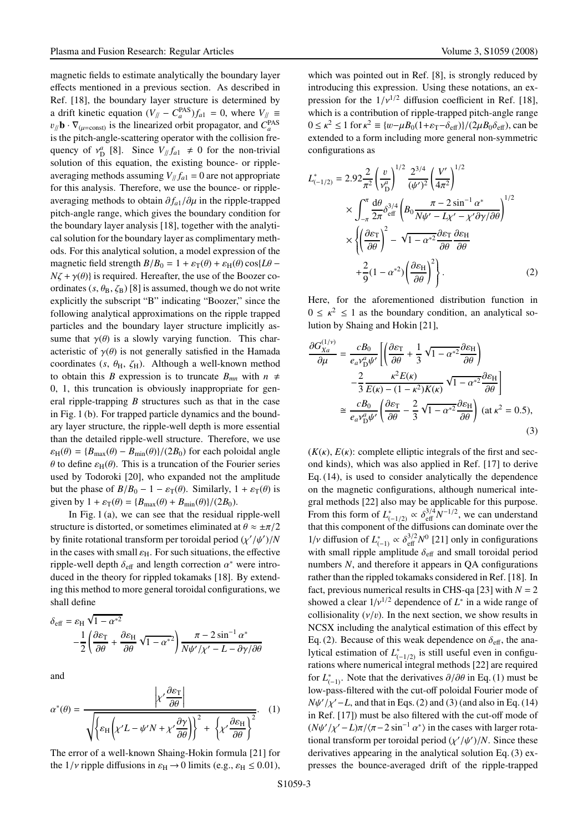magnetic fields to estimate analytically the boundary layer effects mentioned in a previous section. As described in Ref. [18], the boundary layer structure is determined by a drift kinetic equation  $(V_{//} - C_a^{PAS})f_{a1} = 0$ , where  $V_{//} \equiv$  $v_{\parallel}/\mathbf{b} \cdot \nabla_{(\mu=\text{const})}$  is the linearized orbit propagator, and  $C_a^{\text{PAS}}$ is the pitch-angle-scattering operator with the collision frequency of  $v_D^a$  [8]. Since  $V_{\parallel}/f_{a1} \neq 0$  for the non-trivial solution of this equation, the existing bounce- or rippleaveraging methods assuming  $V_{\parallel}/f_{a1} = 0$  are not appropriate for this analysis. Therefore, we use the bounce- or rippleaveraging methods to obtain  $\partial f_{a1}/\partial \mu$  in the ripple-trapped pitch-angle range, which gives the boundary condition for the boundary layer analysis [18], together with the analytical solution for the boundary layer as complimentary methods. For this analytical solution, a model expression of the magnetic field strength  $B/B_0 = 1 + \varepsilon_T(\theta) + \varepsilon_H(\theta) \cos\{L\theta - \theta\}$  $N\zeta + \gamma(\theta)$  is required. Hereafter, the use of the Boozer coordinates  $(s, \theta_B, \zeta_B)$  [8] is assumed, though we do not write explicitly the subscript "B" indicating "Boozer," since the following analytical approximations on the ripple trapped particles and the boundary layer structure implicitly assume that  $\gamma(\theta)$  is a slowly varying function. This characteristic of  $\gamma(\theta)$  is not generally satisfied in the Hamada coordinates ( $s$ ,  $\theta$ <sub>H</sub>,  $\zeta$ <sub>H</sub>). Although a well-known method to obtain this *B* expression is to truncate  $B_{mn}$  with  $n \neq$ 0, 1, this truncation is obviously inappropriate for general ripple-trapping *B* structures such as that in the case in Fig. 1 (b). For trapped particle dynamics and the boundary layer structure, the ripple-well depth is more essential than the detailed ripple-well structure. Therefore, we use  $\varepsilon_{\text{H}}(\theta) = {B_{\text{max}}(\theta) - B_{\text{min}}(\theta)}/(2B_0)$  for each poloidal angle  $θ$  to define  $\varepsilon_H(θ)$ . This is a truncation of the Fourier series used by Todoroki [20], who expanded not the amplitude but the phase of  $B/B_0 - 1 - \varepsilon_{\rm T}(\theta)$ . Similarly,  $1 + \varepsilon_{\rm T}(\theta)$  is given by  $1 + \varepsilon_T(\theta) = \frac{B_{\text{max}}(\theta) + B_{\text{min}}(\theta)}{2B_0}.$ 

In Fig. 1 (a), we can see that the residual ripple-well structure is distorted, or sometimes eliminated at  $\theta \approx \pm \pi/2$ by finite rotational transform per toroidal period  $(\chi'/\psi')/N$ in the cases with small  $\varepsilon_H$ . For such situations, the effective ripple-well depth  $\delta_{\text{eff}}$  and length correction  $\alpha^*$  were introduced in the theory for rippled tokamaks [18]. By extending this method to more general toroidal configurations, we shall define

$$
\delta_{\text{eff}} = \varepsilon_{\text{H}} \sqrt{1 - \alpha^{*2}} \\
-\frac{1}{2} \left( \frac{\partial \varepsilon_{\text{T}}}{\partial \theta} + \frac{\partial \varepsilon_{\text{H}}}{\partial \theta} \sqrt{1 - \alpha^{*2}} \right) \frac{\pi - 2 \sin^{-1} \alpha^{*}}{N \psi' / \chi' - L - \partial \gamma / \partial \theta}
$$

and

$$
\alpha^*(\theta) = \frac{\left|\chi'\frac{\partial \varepsilon_{\rm T}}{\partial \theta}\right|}{\sqrt{\left\{\varepsilon_{\rm H}\left(\chi'L - \psi'N + \chi'\frac{\partial \gamma}{\partial \theta}\right)\right\}^2 + \left\{\chi'\frac{\partial \varepsilon_{\rm H}}{\partial \theta}\right\}^2}}.
$$
 (1)

The error of a well-known Shaing-Hokin formula [21] for the  $1/\nu$  ripple diffusions in  $\varepsilon_H \rightarrow 0$  limits (e.g.,  $\varepsilon_H \leq 0.01$ ), which was pointed out in Ref. [8], is strongly reduced by introducing this expression. Using these notations, an expression for the  $1/v^{1/2}$  diffusion coefficient in Ref. [18], which is a contribution of ripple-trapped pitch-angle range  $0 \le \kappa^2 \le 1$  for  $\kappa^2 \equiv \frac{w - \mu B_0(1 + \varepsilon_T - \delta_{\text{eff}})}{2 \mu B_0 \delta_{\text{eff}}},$  can be extended to a form including more general non-symmetric configurations as

$$
L_{(-1/2)}^{*} = 2.92 \frac{2}{\pi^{2}} \left(\frac{v}{v_{\mathrm{D}}^{\alpha}}\right)^{1/2} \frac{2^{3/4}}{(\psi')^{2}} \left(\frac{V'}{4\pi^{2}}\right)^{1/2}
$$

$$
\times \int_{-\pi}^{\pi} \frac{d\theta}{2\pi} \delta_{\mathrm{eff}}^{3/4} \left(B_{0} \frac{\pi - 2\sin^{-1} \alpha^{*}}{N\psi' - L\chi' - \chi' \partial \gamma/\partial \theta}\right)^{1/2}
$$

$$
\times \left\{\left(\frac{\partial \varepsilon_{\mathrm{T}}}{\partial \theta}\right)^{2} - \sqrt{1 - \alpha^{*2}} \frac{\partial \varepsilon_{\mathrm{T}}}{\partial \theta} \frac{\partial \varepsilon_{\mathrm{H}}}{\partial \theta}
$$

$$
+ \frac{2}{9} (1 - \alpha^{*2}) \left(\frac{\partial \varepsilon_{\mathrm{H}}}{\partial \theta}\right)^{2}\right\}.
$$
(2)

Here, for the aforementioned distribution function in  $0 \leq \kappa^2 \leq 1$  as the boundary condition, an analytical solution by Shaing and Hokin [21],

$$
\frac{\partial G_{Xa}^{(1/\nu)}}{\partial \mu} = \frac{cB_0}{e_a v_{\rm D}^a \psi'} \left[ \left( \frac{\partial \varepsilon_{\rm T}}{\partial \theta} + \frac{1}{3} \sqrt{1 - \alpha^{*2}} \frac{\partial \varepsilon_{\rm H}}{\partial \theta} \right) - \frac{2}{3} \frac{\kappa^2 E(\kappa)}{E(\kappa) - (1 - \kappa^2) K(\kappa)} \sqrt{1 - \alpha^{*2}} \frac{\partial \varepsilon_{\rm H}}{\partial \theta} \right]
$$

$$
\approx \frac{cB_0}{e_a v_{\rm D}^a \psi'} \left( \frac{\partial \varepsilon_{\rm T}}{\partial \theta} - \frac{2}{3} \sqrt{1 - \alpha^{*2}} \frac{\partial \varepsilon_{\rm H}}{\partial \theta} \right) (\text{at } \kappa^2 = 0.5),
$$
(3)

 $(K(\kappa), E(\kappa))$ : complete elliptic integrals of the first and second kinds), which was also applied in Ref. [17] to derive Eq. (14), is used to consider analytically the dependence on the magnetic configurations, although numerical integral methods [22] also may be applicable for this purpose. From this form of  $L_{(-1/2)}^* \propto \delta_{\text{eff}}^{3/4} N^{-1/2}$ , we can understand that this component of the diffusions can dominate over the 1/*v* diffusion of  $L_{(-1)}^* \propto \delta_{\text{eff}}^{3/2} N^0$  [21] only in configurations with small ripple amplitude  $\delta_{\text{eff}}$  and small toroidal period numbers *N*, and therefore it appears in QA configurations rather than the rippled tokamaks considered in Ref. [18]. In fact, previous numerical results in CHS-qa [23] with  $N = 2$ showed a clear  $1/v^{1/2}$  dependence of  $L^*$  in a wide range of collisionality  $(v/v)$ . In the next section, we show results in NCSX including the analytical estimation of this effect by Eq. (2). Because of this weak dependence on  $\delta_{\text{eff}}$ , the analytical estimation of  $L_{(-1/2)}^*$  is still useful even in configurations where numerical integral methods [22] are required for  $L^*_{(-1)}$ . Note that the derivatives  $\partial/\partial\theta$  in Eq. (1) must be low-pass-filtered with the cut-off poloidal Fourier mode of  $N\psi'/\chi'$  – *L*, and that in Eqs. (2) and (3) (and also in Eq. (14) in Ref. [17]) must be also filtered with the cut-off mode of  $(N\psi'/\chi'-L)\pi/\langle \pi-2\sin^{-1}\alpha^* \rangle$  in the cases with larger rotational transform per toroidal period  $(\chi'/\psi')/N$ . Since these derivatives appearing in the analytical solution Eq. (3) expresses the bounce-averaged drift of the ripple-trapped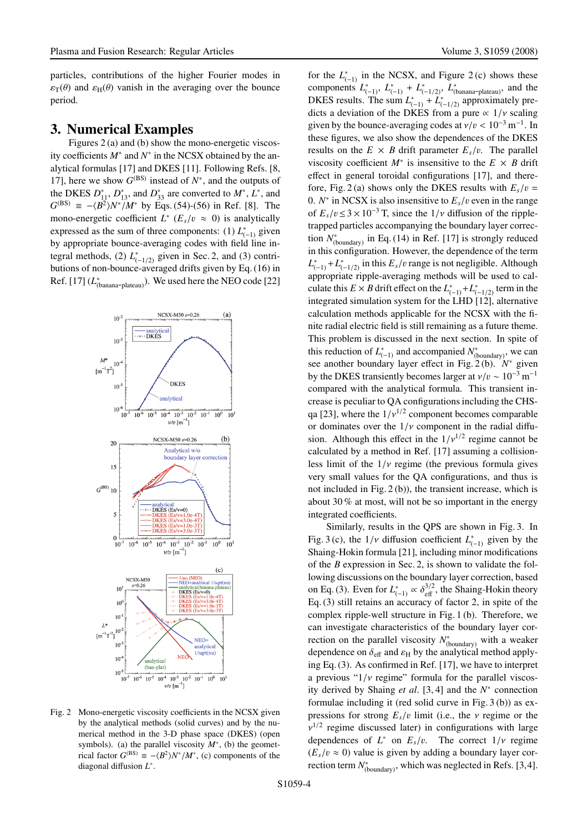particles, contributions of the higher Fourier modes in  $\varepsilon_{\text{t}}(\theta)$  and  $\varepsilon_{\text{H}}(\theta)$  vanish in the averaging over the bounce period.

#### 3. Numerical Examples

Figures 2 (a) and (b) show the mono-energetic viscosity coefficients *M*<sup>∗</sup> and *N*<sup>∗</sup> in the NCSX obtained by the analytical formulas [17] and DKES [11]. Following Refs. [8, 17], here we show  $G^{(BS)}$  instead of  $N^*$ , and the outputs of the DKES  $D_{11}^*$ ,  $D_{13}^*$ , and  $D_{33}^*$  are converted to  $M^*$ ,  $L^*$ , and *G*<sup>(BS)</sup> ≡ − $\langle B^2 \rangle N^* / M^*$  by Eqs. (54)-(56) in Ref. [8]. The mono-energetic coefficient  $L^*$  ( $E_s/v \approx 0$ ) is analytically expressed as the sum of three components: (1)  $L_{(-1)}^*$  given by appropriate bounce-averaging codes with field line integral methods, (2)  $L_{(-1/2)}^*$  given in Sec. 2, and (3) contributions of non-bounce-averaged drifts given by Eq. (16) in Ref. [17]  $(L_{(banana-plateau)}^*)$ . We used here the NEO code [22]



Fig. 2 Mono-energetic viscosity coefficients in the NCSX given by the analytical methods (solid curves) and by the numerical method in the 3-D phase space (DKES) (open symbols). (a) the parallel viscosity  $M^*$ , (b) the geometrical factor  $G^{(BS)} \equiv -\langle B^2 \rangle N^* / M^*$ , (c) components of the diagonal diffusion *L*<sup>∗</sup> .

for the  $L_{(-1)}^*$  in the NCSX, and Figure 2(c) shows these components  $L_{(-1)}^*$ ,  $L_{(-1)}^*$  +  $L_{(-1/2)}^*$ ,  $L_{(\text{banana-plateau})}^*$ , and the DKES results. The sum  $L_{(-1)}^* + L_{(-1/2)}^*$  approximately predicts a deviation of the DKES from a pure  $\propto 1/v$  scaling given by the bounce-averaging codes at  $v/v < 10^{-3}$  m<sup>-1</sup>. In these figures, we also show the dependences of the DKES results on the  $E \times B$  drift parameter  $E_s/v$ . The parallel viscosity coefficient  $M^*$  is insensitive to the  $E \times B$  drift effect in general toroidal configurations [17], and therefore, Fig. 2(a) shows only the DKES results with  $E_s/v =$ 0.  $N^*$  in NCSX is also insensitive to  $E_s/v$  even in the range of  $E_s/v \leq 3 \times 10^{-3}$  T, since the  $1/v$  diffusion of the rippletrapped particles accompanying the boundary layer correction  $N^*_{(boundary)}$  in Eq. (14) in Ref. [17] is strongly reduced in this configuration. However, the dependence of the term  $L_{(-1)}^*$  +  $L_{(-1/2)}^*$  in this  $E_s/v$  range is not negligible. Although appropriate ripple-averaging methods will be used to calculate this  $E \times B$  drift effect on the  $L_{(-1)}^*$  +  $L_{(-1/2)}^*$  term in the integrated simulation system for the LHD [12], alternative calculation methods applicable for the NCSX with the finite radial electric field is still remaining as a future theme. This problem is discussed in the next section. In spite of this reduction of  $L^*_{(-1)}$  and accompanied  $N^*_{(boundary)}$ , we can see another boundary layer effect in Fig. 2 (b). *N*<sup>∗</sup> given by the DKES transiently becomes larger at  $v/v \sim 10^{-3}$  m<sup>-1</sup> compared with the analytical formula. This transient increase is peculiar to QA configurations including the CHSqa [23], where the  $1/v^{1/2}$  component becomes comparable or dominates over the  $1/\nu$  component in the radial diffusion. Although this effect in the  $1/v^{1/2}$  regime cannot be calculated by a method in Ref. [17] assuming a collisionless limit of the  $1/\nu$  regime (the previous formula gives very small values for the QA configurations, and thus is not included in Fig. 2 (b)), the transient increase, which is about 30 % at most, will not be so important in the energy integrated coefficients.

Similarly, results in the QPS are shown in Fig. 3. In Fig. 3 (c), the  $1/\nu$  diffusion coefficient  $L^*_{(-1)}$  given by the Shaing-Hokin formula [21], including minor modifications of the *B* expression in Sec. 2, is shown to validate the following discussions on the boundary layer correction, based on Eq. (3). Even for  $L_{(-1)}^* \propto \delta_{\text{eff}}^{3/2}$ , the Shaing-Hokin theory Eq. (3) still retains an accuracy of factor 2, in spite of the complex ripple-well structure in Fig. 1 (b). Therefore, we can investigate characteristics of the boundary layer correction on the parallel viscosity *N*<sup>∗</sup> (boundary) with a weaker dependence on  $\delta_{\text{eff}}$  and  $\varepsilon_{\text{H}}$  by the analytical method applying Eq. (3). As confirmed in Ref. [17], we have to interpret a previous " $1/v$  regime" formula for the parallel viscosity derived by Shaing *et al*. [3, 4] and the *N*<sup>∗</sup> connection formulae including it (red solid curve in Fig. 3 (b)) as expressions for strong  $E_s/v$  limit (i.e., the *v* regime or the  $v^{1/2}$  regime discussed later) in configurations with large dependences of  $L^*$  on  $E_s/v$ . The correct  $1/v$  regime  $(E_s/v \approx 0)$  value is given by adding a boundary layer correction term  $N^*_{(boundary)}$ , which was neglected in Refs. [3,4].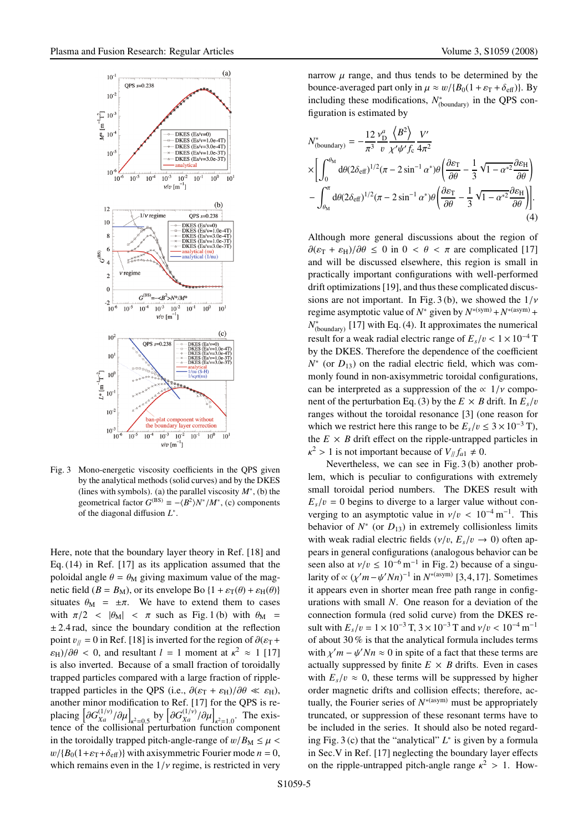

Fig. 3 Mono-energetic viscosity coefficients in the QPS given by the analytical methods (solid curves) and by the DKES (lines with symbols). (a) the parallel viscosity *M*<sup>∗</sup>, (b) the geometrical factor  $G^{(BS)} \equiv -\langle B^2 \rangle N^* / M^*$ , (c) components of the diagonal diffusion *L*<sup>∗</sup>.

Here, note that the boundary layer theory in Ref. [18] and Eq. (14) in Ref. [17] as its application assumed that the poloidal angle  $\theta = \theta_M$  giving maximum value of the magnetic field  $(B = B_M)$ , or its envelope Bo  $\{1 + \varepsilon_\text{T}(\theta) + \varepsilon_\text{H}(\theta)\}$ situates  $\theta_M = \pm \pi$ . We have to extend them to cases with  $\pi/2$  <  $|\theta_M|$  <  $\pi$  such as Fig. 1 (b) with  $\theta_M$  =  $\pm$  2.4 rad, since the boundary condition at the reflection point  $v_{\parallel}$  = 0 in Ref. [18] is inverted for the region of  $\partial(\varepsilon_T +$  $\varepsilon_{\text{H}}$ )/ $\partial \theta$  < 0, and resultant *l* = 1 moment at  $\kappa^2 \approx 1$  [17] is also inverted. Because of a small fraction of toroidally trapped particles compared with a large fraction of rippletrapped particles in the OPS (i.e.,  $\partial(\varepsilon_T + \varepsilon_H)/\partial\theta \ll \varepsilon_H$ ), another minor modification to Ref. [17] for the QPS is replacing  $\left[\partial G_{Xa}^{(1/\nu)}/\partial\mu\right]_{\kappa^2=0.5}$  by  $\left[\partial G_{Xa}^{(1/\nu)}/\partial\mu\right]_{\kappa^2=1.0}$ . The existence of the collisional perturbation function component in the toroidally trapped pitch-angle-range of  $w/B_M \leq \mu$  $w/{B_0(1+\varepsilon_T+\delta_{\text{eff}})}$  with axisymmetric Fourier mode  $n = 0$ , which remains even in the  $1/v$  regime, is restricted in very narrow  $\mu$  range, and thus tends to be determined by the bounce-averaged part only in  $\mu \approx w / {B_0(1 + \varepsilon_{\text{T}} + \delta_{\text{eff}})}$ . By including these modifications,  $N^*_{(boundary)}$  in the QPS configuration is estimated by

$$
N_{\text{(boundary)}}^* = -\frac{12}{\pi^3} \frac{v_D^a}{v} \frac{\left\langle B^2 \right\rangle}{\chi'\psi' f_c} \frac{V'}{4\pi^2}
$$
  
\n
$$
\times \left[ \int_0^{\theta_M} d\theta (2\delta_{\text{eff}})^{1/2} (\pi - 2\sin^{-1} \alpha^*) \theta \left( \frac{\partial \varepsilon_T}{\partial \theta} - \frac{1}{3} \sqrt{1 - \alpha^*^2} \frac{\partial \varepsilon_H}{\partial \theta} \right) - \int_{\theta_M}^{\pi} d\theta (2\delta_{\text{eff}})^{1/2} (\pi - 2\sin^{-1} \alpha^*) \theta \left( \frac{\partial \varepsilon_T}{\partial \theta} - \frac{1}{3} \sqrt{1 - \alpha^*^2} \frac{\partial \varepsilon_H}{\partial \theta} \right) \right].
$$
\n(4)

Although more general discussions about the region of  $\partial(\varepsilon_{\rm T} + \varepsilon_{\rm H})/\partial\theta \leq 0$  in  $0 < \theta < \pi$  are complicated [17] and will be discussed elsewhere, this region is small in practically important configurations with well-performed drift optimizations [19], and thus these complicated discussions are not important. In Fig. 3(b), we showed the  $1/\nu$ regime asymptotic value of  $N^*$  given by  $N^{*(sym)} + N^{*(asym)} +$ *N*<sup>∗</sup><sub>(boundary)</sub> [17] with Eq. (4). It approximates the numerical result for a weak radial electric range of  $E_s/v < 1 \times 10^{-4}$  T by the DKES. Therefore the dependence of the coefficient  $N^*$  (or  $D_{13}$ ) on the radial electric field, which was commonly found in non-axisymmetric toroidal configurations, can be interpreted as a suppression of the  $\propto 1/v$  component of the perturbation Eq. (3) by the  $E \times B$  drift. In  $E_s/v$ ranges without the toroidal resonance [3] (one reason for which we restrict here this range to be  $E_s/v \leq 3 \times 10^{-3}$  T), the  $E \times B$  drift effect on the ripple-untrapped particles in  $\kappa^2 > 1$  is not important because of  $V/f_{a1} \neq 0$ .

Nevertheless, we can see in Fig. 3 (b) another problem, which is peculiar to configurations with extremely small toroidal period numbers. The DKES result with  $E_s/v = 0$  begins to diverge to a larger value without converging to an asymptotic value in  $v/v < 10^{-4}$  m<sup>-1</sup>. This behavior of  $N^*$  (or  $D_{13}$ ) in extremely collisionless limits with weak radial electric fields  $(\nu/v, E_s/v \rightarrow 0)$  often appears in general configurations (analogous behavior can be seen also at  $v/v \le 10^{-6}$  m<sup>-1</sup> in Fig. 2) because of a singularity of  $\propto (\chi'm - \psi' Nn)^{-1}$  in  $N^{*(asym)}$  [3,4,17]. Sometimes it appears even in shorter mean free path range in configurations with small *N*. One reason for a deviation of the connection formula (red solid curve) from the DKES result with  $E_s/v = 1 \times 10^{-3}$  T,  $3 \times 10^{-3}$  T and  $v/v < 10^{-4}$  m<sup>-1</sup> of about 30 % is that the analytical formula includes terms with  $\chi' m - \psi' N n \approx 0$  in spite of a fact that these terms are actually suppressed by finite  $E \times B$  drifts. Even in cases with  $E_s/v \approx 0$ , these terms will be suppressed by higher order magnetic drifts and collision effects; therefore, actually, the Fourier series of  $N<sup>*(asym)</sup>$  must be appropriately truncated, or suppression of these resonant terms have to be included in the series. It should also be noted regarding Fig. 3 (c) that the "analytical" *L*<sup>∗</sup> is given by a formula in Sec.V in Ref. [17] neglecting the boundary layer effects on the ripple-untrapped pitch-angle range  $\kappa^2 > 1$ . How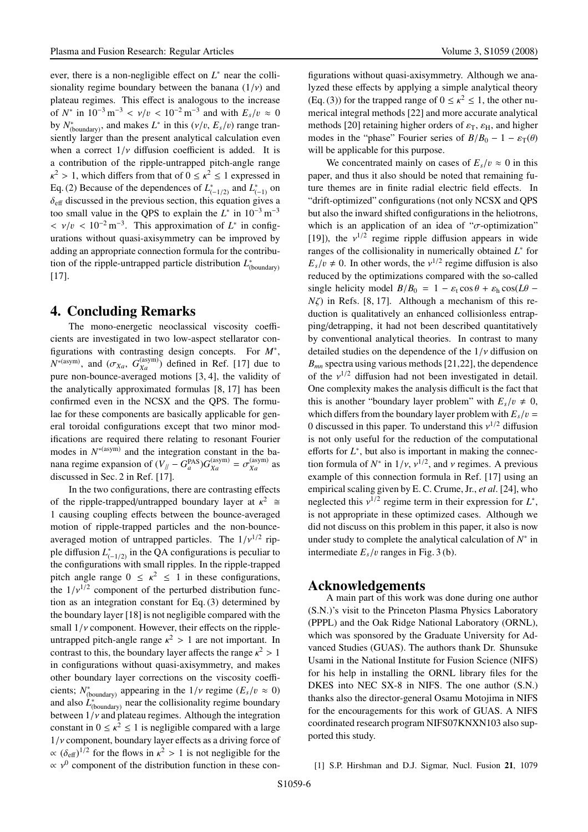ever, there is a non-negligible effect on *L*<sup>∗</sup> near the collisionality regime boundary between the banana  $(1/\nu)$  and plateau regimes. This effect is analogous to the increase of  $N^*$  in  $10^{-3}$  m<sup>-3</sup> <  $v/v$  <  $10^{-2}$  m<sup>-3</sup> and with  $E_s/v \approx 0$ by  $N^*_{(boundary)}$ , and makes  $L^*$  in this  $(\nu/v, E_s/v)$  range transiently larger than the present analytical calculation even when a correct  $1/\nu$  diffusion coefficient is added. It is a contribution of the ripple-untrapped pitch-angle range  $\kappa^2 > 1$ , which differs from that of  $0 \leq \kappa^2 \leq 1$  expressed in Eq. (2) Because of the dependences of  $L_{(-1/2)}^*$  and  $L_{(-1)}^*$  on  $\delta_{\text{eff}}$  discussed in the previous section, this equation gives a too small value in the OPS to explain the  $L^*$  in  $10^{-3}$  m<sup>-3</sup>  $\langle v/v \rangle < 10^{-2} \text{ m}^{-3}$ . This approximation of  $L^*$  in configurations without quasi-axisymmetry can be improved by adding an appropriate connection formula for the contribution of the ripple-untrapped particle distribution *L*<sup>∗</sup><sub>(boundary)</sub> [17].

### 4. Concluding Remarks

The mono-energetic neoclassical viscosity coefficients are investigated in two low-aspect stellarator configurations with contrasting design concepts. For *M*∗,  $N^{*(asym)}$ , and  $(\sigma_{Xa}, G_{Xa}^{(asym)})$  defined in Ref. [17] due to pure non-bounce-averaged motions [3, 4], the validity of the analytically approximated formulas [8, 17] has been confirmed even in the NCSX and the QPS. The formulae for these components are basically applicable for general toroidal configurations except that two minor modifications are required there relating to resonant Fourier modes in  $N<sup>*(asym)</sup>$  and the integration constant in the banana regime expansion of  $(V_{//} - G_a^{PAS})G_{Xa}^{(asym)} = \sigma_{Xa}^{(asym)}$  as discussed in Sec. 2 in Ref. [17].

In the two configurations, there are contrasting effects of the ripple-trapped/untrapped boundary layer at  $\kappa^2 \cong$ 1 causing coupling effects between the bounce-averaged motion of ripple-trapped particles and the non-bounceaveraged motion of untrapped particles. The  $1/v^{1/2}$  ripple diffusion  $L^*_{(-1/2)}$  in the QA configurations is peculiar to the configurations with small ripples. In the ripple-trapped pitch angle range  $0 \leq \kappa^2 \leq 1$  in these configurations, the  $1/v^{1/2}$  component of the perturbed distribution function as an integration constant for Eq. (3) determined by the boundary layer [18] is not negligible compared with the small  $1/v$  component. However, their effects on the rippleuntrapped pitch-angle range  $\kappa^2 > 1$  are not important. In contrast to this, the boundary layer affects the range  $\kappa^2 > 1$ in configurations without quasi-axisymmetry, and makes other boundary layer corrections on the viscosity coefficients;  $N^*_{(boundary)}$  appearing in the  $1/\nu$  regime ( $E_s/v \approx 0$ ) and also  $L^*_{(boundary)}$  near the collisionality regime boundary between  $1/v$  and plateau regimes. Although the integration constant in  $0 \leq \kappa^2 \leq 1$  is negligible compared with a large  $1/v$  component, boundary layer effects as a driving force of  $\propto (\delta_{\text{eff}})^{1/2}$  for the flows in  $\kappa^2 > 1$  is not negligible for the  $\propto$   $v^0$  component of the distribution function in these configurations without quasi-axisymmetry. Although we analyzed these effects by applying a simple analytical theory (Eq. (3)) for the trapped range of  $0 \le \kappa^2 \le 1$ , the other numerical integral methods [22] and more accurate analytical methods [20] retaining higher orders of  $\varepsilon_{\rm T}$ ,  $\varepsilon_{\rm H}$ , and higher modes in the "phase" Fourier series of  $B/B_0 - 1 - \varepsilon_T(\theta)$ will be applicable for this purpose.

We concentrated mainly on cases of  $E_s/v \approx 0$  in this paper, and thus it also should be noted that remaining future themes are in finite radial electric field effects. In "drift-optimized" configurations (not only NCSX and QPS but also the inward shifted configurations in the heliotrons, which is an application of an idea of " $\sigma$ -optimization" [19]), the  $v^{1/2}$  regime ripple diffusion appears in wide ranges of the collisionality in numerically obtained *L*<sup>∗</sup> for  $E_s/v \neq 0$ . In other words, the  $v^{1/2}$  regime diffusion is also reduced by the optimizations compared with the so-called single helicity model  $B/B_0 = 1 - \varepsilon_t \cos \theta + \varepsilon_h \cos(L\theta - \theta)$ *N*ζ) in Refs. [8, 17]. Although a mechanism of this reduction is qualitatively an enhanced collisionless entrapping/detrapping, it had not been described quantitatively by conventional analytical theories. In contrast to many detailed studies on the dependence of the  $1/\nu$  diffusion on *Bmn* spectra using various methods [21,22], the dependence of the  $v^{1/2}$  diffusion had not been investigated in detail. One complexity makes the analysis difficult is the fact that this is another "boundary layer problem" with  $E_s/v \neq 0$ , which differs from the boundary layer problem with  $E_s/v =$ 0 discussed in this paper. To understand this  $v^{1/2}$  diffusion is not only useful for the reduction of the computational efforts for  $L^*$ , but also is important in making the connection formula of  $N^*$  in  $1/\nu$ ,  $\nu^{1/2}$ , and  $\nu$  regimes. A previous example of this connection formula in Ref. [17] using an empirical scaling given by E. C. Crume, Jr., *et al*. [24], who neglected this  $v^{1/2}$  regime term in their expression for  $L^*$ , is not appropriate in these optimized cases. Although we did not discuss on this problem in this paper, it also is now under study to complete the analytical calculation of *N*<sup>∗</sup> in intermediate  $E_s/v$  ranges in Fig. 3 (b).

#### Acknowledgements

A main part of this work was done during one author (S.N.)'s visit to the Princeton Plasma Physics Laboratory (PPPL) and the Oak Ridge National Laboratory (ORNL), which was sponsored by the Graduate University for Advanced Studies (GUAS). The authors thank Dr. Shunsuke Usami in the National Institute for Fusion Science (NIFS) for his help in installing the ORNL library files for the DKES into NEC SX-8 in NIFS. The one author (S.N.) thanks also the director-general Osamu Motojima in NIFS for the encouragements for this work of GUAS. A NIFS coordinated research program NIFS07KNXN103 also supported this study.